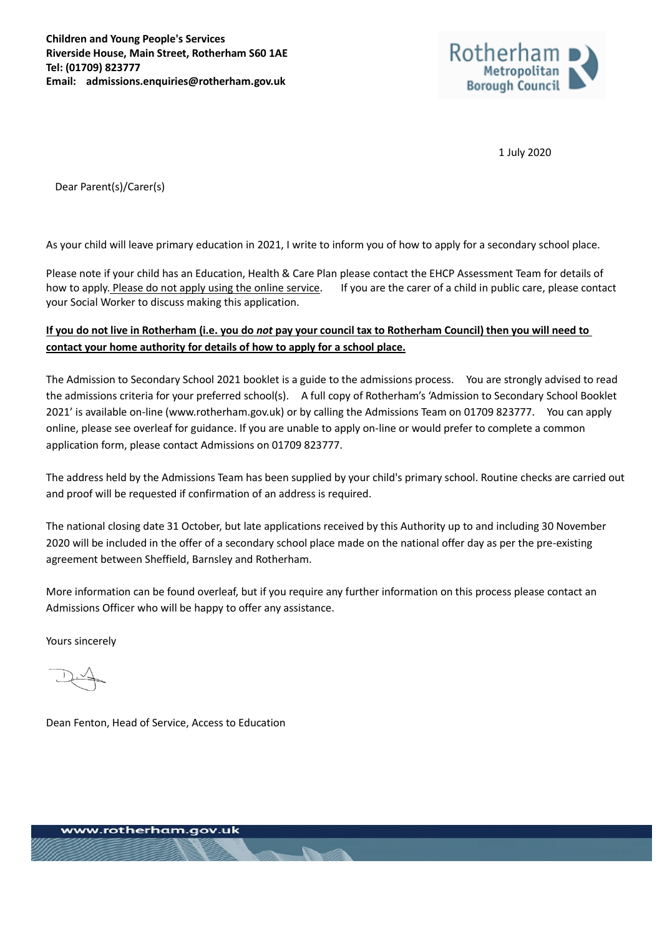

1 July 2020

Dear Parent(s)/Carer(s)

As your child will leave primary education in 2021, I write to inform you of how to apply for a secondary school place.

Please note if your child has an Education, Health & Care Plan please contact the EHCP Assessment Team for details of how to apply. Please do not apply using the online service. If you are the carer of a child in public care, please contact your Social Worker to discuss making this application.

# **If you do not live in Rotherham (i.e. you do** *not* **pay your council tax to Rotherham Council) then you will need to contact your home authority for details of how to apply for a school place.**

The Admission to Secondary School 2021 booklet is a guide to the admissions process. You are strongly advised to read the admissions criteria for your preferred school(s). A full copy of Rotherham's 'Admission to Secondary School Booklet 2021' is available on-line (www.rotherham.gov.uk) or by calling the Admissions Team on 01709 823777. You can apply online, please see overleaf for guidance. If you are unable to apply on-line or would prefer to complete a common application form, please contact Admissions on 01709 823777.

The address held by the Admissions Team has been supplied by your child's primary school. Routine checks are carried out and proof will be requested if confirmation of an address is required.

The national closing date 31 October, but late applications received by this Authority up to and including 30 November 2020 will be included in the offer of a secondary school place made on the national offer day as per the pre-existing agreement between Sheffield, Barnsley and Rotherham.

More information can be found overleaf, but if you require any further information on this process please contact an Admissions Officer who will be happy to offer any assistance.

Yours sincerely

Dean Fenton, Head of Service, Access to Education